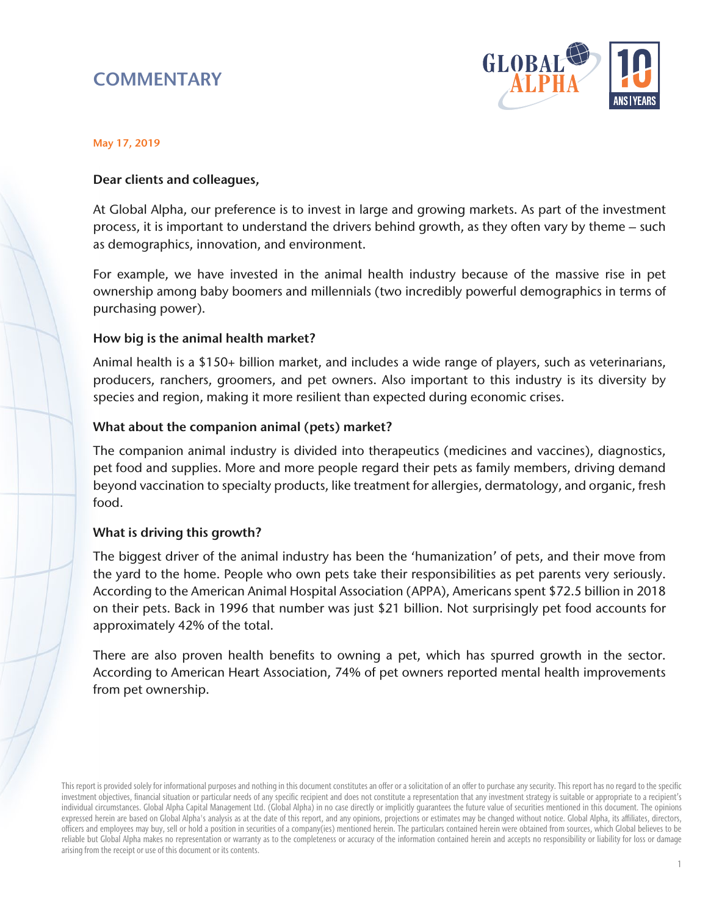# **COMMENTARY**



#### May 17, 2019

### Dear clients and colleagues,

At Global Alpha, our preference is to invest in large and growing markets. As part of the investment process, it is important to understand the drivers behind growth, as they often vary by theme – such as demographics, innovation, and environment.

For example, we have invested in the animal health industry because of the massive rise in pet ownership among baby boomers and millennials (two incredibly powerful demographics in terms of purchasing power).

### How big is the animal health market?

Animal health is a \$150+ billion market, and includes a wide range of players, such as veterinarians, producers, ranchers, groomers, and pet owners. Also important to this industry is its diversity by species and region, making it more resilient than expected during economic crises.

### What about the companion animal (pets) market?

The companion animal industry is divided into therapeutics (medicines and vaccines), diagnostics, pet food and supplies. More and more people regard their pets as family members, driving demand beyond vaccination to specialty products, like treatment for allergies, dermatology, and organic, fresh food.

#### What is driving this growth?

The biggest driver of the animal industry has been the 'humanization' of pets, and their move from the yard to the home. People who own pets take their responsibilities as pet parents very seriously. According to the American Animal Hospital Association (APPA), Americans spent \$72.5 billion in 2018 on their pets. Back in 1996 that number was just \$21 billion. Not surprisingly pet food accounts for approximately 42% of the total.

There are also proven health benefits to owning a pet, which has spurred growth in the sector. According to American Heart Association, 74% of pet owners reported mental health improvements from pet ownership.

This report is provided solely for informational purposes and nothing in this document constitutes an offer or a solicitation of an offer to purchase any security. This report has no regard to the specific investment objectives, financial situation or particular needs of any specific recipient and does not constitute a representation that any investment strategy is suitable or appropriate to a recipient's individual circumstances. Global Alpha Capital Management Ltd. (Global Alpha) in no case directly or implicitly guarantees the future value of securities mentioned in this document. The opinions expressed herein are based on Global Alpha's analysis as at the date of this report, and any opinions, projections or estimates may be changed without notice. Global Alpha, its affiliates, directors, officers and employees may buy, sell or hold a position in securities of a company(ies) mentioned herein. The particulars contained herein were obtained from sources, which Global believes to be reliable but Global Alpha makes no representation or warranty as to the completeness or accuracy of the information contained herein and accepts no responsibility or liability for loss or damage arising from the receipt or use of this document or its contents.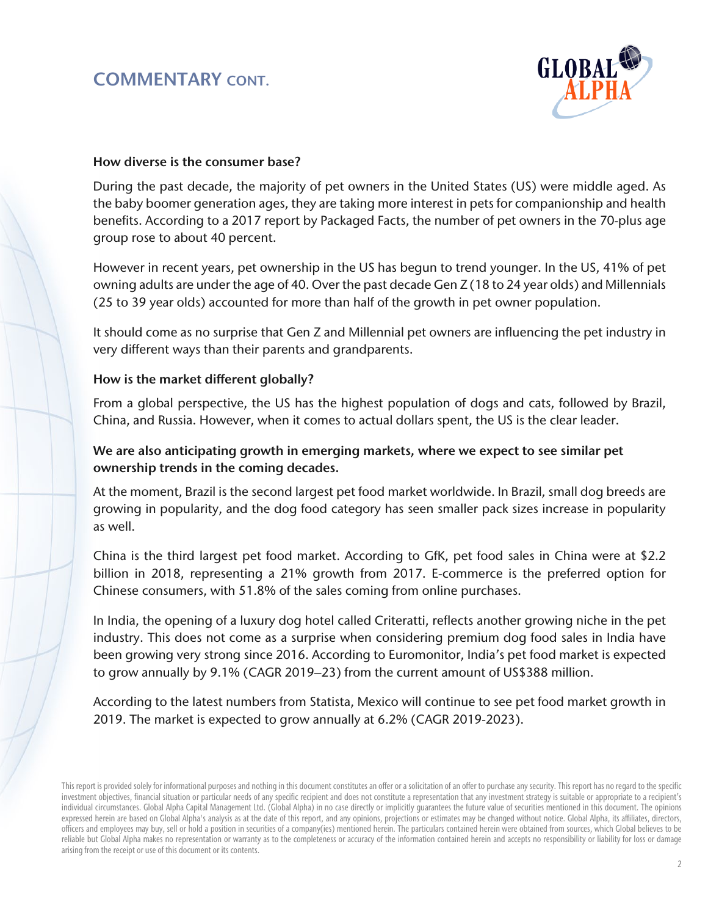

# How diverse is the consumer base?

During the past decade, the majority of pet owners in the United States (US) were middle aged. As the baby boomer generation ages, they are taking more interest in pets for companionship and health benefits. According to a 2017 report by Packaged Facts, the number of pet owners in the 70-plus age group rose to about 40 percent.

However in recent years, pet ownership in the US has begun to trend younger. In the US, 41% of pet owning adults are under the age of 40. Over the past decade Gen Z (18 to 24 year olds) and Millennials (25 to 39 year olds) accounted for more than half of the growth in pet owner population.

It should come as no surprise that Gen Z and Millennial pet owners are influencing the pet industry in very different ways than their parents and grandparents.

# How is the market different globally?

From a global perspective, the US has the highest population of dogs and cats, followed by Brazil, China, and Russia. However, when it comes to actual dollars spent, the US is the clear leader.

# We are also anticipating growth in emerging markets, where we expect to see similar pet ownership trends in the coming decades.

At the moment, Brazil is the second largest pet food market worldwide. In Brazil, small dog breeds are growing in popularity, and the dog food category has seen smaller pack sizes increase in popularity as well.

China is the third largest pet food market. According to GfK, pet food sales in China were at \$2.2 billion in 2018, representing a 21% growth from 2017. E-commerce is the preferred option for Chinese consumers, with 51.8% of the sales coming from online purchases.

In India, the opening of a luxury dog hotel called Criteratti, reflects another growing niche in the pet industry. This does not come as a surprise when considering premium dog food sales in India have been growing very strong since 2016. According to Euromonitor, India's pet food market is expected to grow annually by 9.1% (CAGR 2019–23) from the current amount of US\$388 million.

According to the latest numbers from Statista, Mexico will continue to see pet food market growth in 2019. The market is expected to grow annually at 6.2% (CAGR 2019-2023).

This report is provided solely for informational purposes and nothing in this document constitutes an offer or a solicitation of an offer to purchase any security. This report has no regard to the specific investment objectives, financial situation or particular needs of any specific recipient and does not constitute a representation that any investment strategy is suitable or appropriate to a recipient's individual circumstances. Global Alpha Capital Management Ltd. (Global Alpha) in no case directly or implicitly guarantees the future value of securities mentioned in this document. The opinions expressed herein are based on Global Alpha's analysis as at the date of this report, and any opinions, projections or estimates may be changed without notice. Global Alpha, its affiliates, directors, officers and employees may buy, sell or hold a position in securities of a company(ies) mentioned herein. The particulars contained herein were obtained from sources, which Global believes to be reliable but Global Alpha makes no representation or warranty as to the completeness or accuracy of the information contained herein and accepts no responsibility or liability for loss or damage arising from the receipt or use of this document or its contents.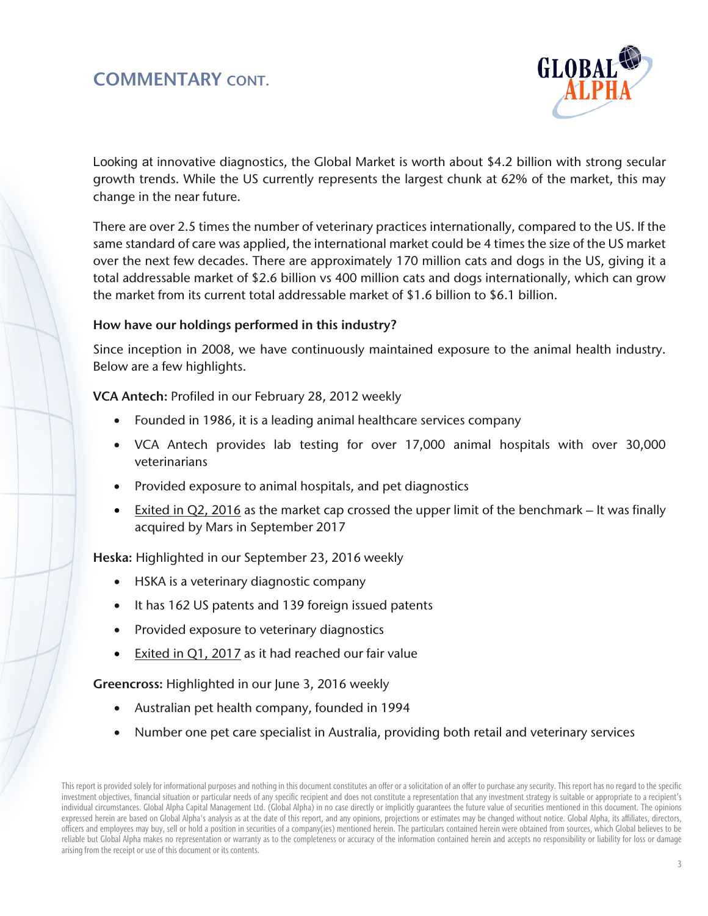

Looking at innovative diagnostics, the Global Market is worth about \$4.2 billion with strong secular growth trends. While the US currently represents the largest chunk at 62% of the market, this may change in the near future.

There are over 2.5 times the number of veterinary practices internationally, compared to the US. If the same standard of care was applied, the international market could be 4 times the size of the US market over the next few decades. There are approximately 170 million cats and dogs in the US, giving it a total addressable market of \$2.6 billion vs 400 million cats and dogs internationally, which can grow the market from its current total addressable market of \$1.6 billion to \$6.1 billion.

# How have our holdings performed in this industry?

Since inception in 2008, we have continuously maintained exposure to the animal health industry. Below are a few highlights.

VCA Antech: Profiled in our February 28, 2012 weekly

- Founded in 1986, it is a leading animal healthcare services company
- VCA Antech provides lab testing for over 17,000 animal hospitals with over 30,000 veterinarians
- Provided exposure to animal hospitals, and pet diagnostics
- Exited in Q2, 2016 as the market cap crossed the upper limit of the benchmark It was finally acquired by Mars in September 2017

Heska: Highlighted in our September 23, 2016 weekly

- HSKA is a veterinary diagnostic company
- It has 162 US patents and 139 foreign issued patents
- Provided exposure to veterinary diagnostics
- Exited in Q1, 2017 as it had reached our fair value

Greencross: Highlighted in our June 3, 2016 weekly

- Australian pet health company, founded in 1994
- Number one pet care specialist in Australia, providing both retail and veterinary services

This report is provided solely for informational purposes and nothing in this document constitutes an offer or a solicitation of an offer to purchase any security. This report has no regard to the specific investment objectives, financial situation or particular needs of any specific recipient and does not constitute a representation that any investment strategy is suitable or appropriate to a recipient's individual circumstances. Global Alpha Capital Management Ltd. (Global Alpha) in no case directly or implicitly guarantees the future value of securities mentioned in this document. The opinions expressed herein are based on Global Alpha's analysis as at the date of this report, and any opinions, projections or estimates may be changed without notice. Global Alpha, its affiliates, directors, officers and employees may buy, sell or hold a position in securities of a company(ies) mentioned herein. The particulars contained herein were obtained from sources, which Global believes to be reliable but Global Alpha makes no representation or warranty as to the completeness or accuracy of the information contained herein and accepts no responsibility or liability for loss or damage arising from the receipt or use of this document or its contents.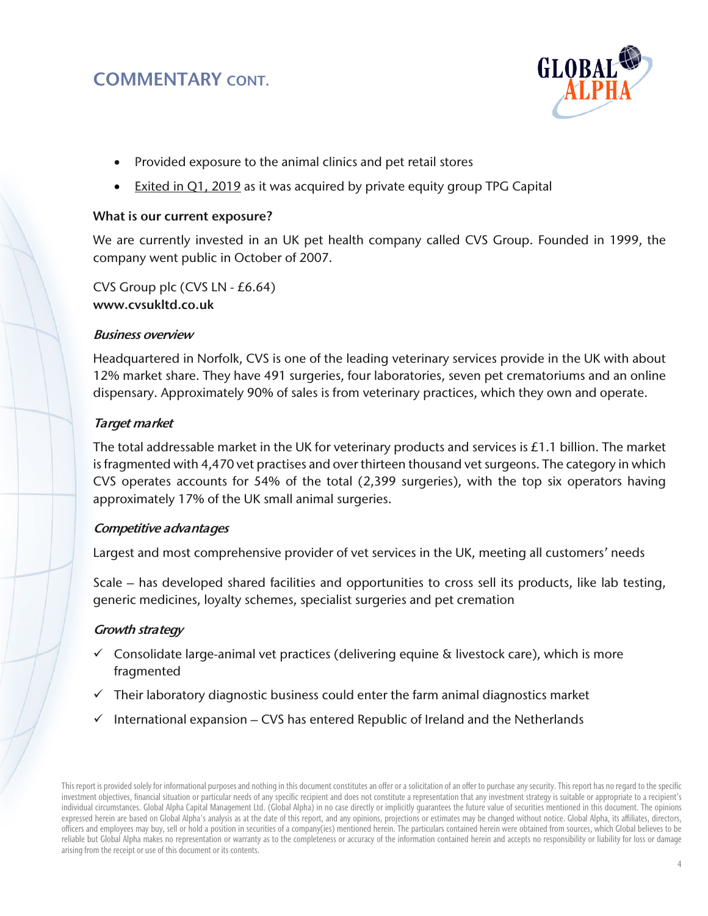

- Provided exposure to the animal clinics and pet retail stores
- **Exited in Q1, 2019** as it was acquired by private equity group TPG Capital

### What is our current exposure?

We are currently invested in an UK pet health company called CVS Group. Founded in 1999, the company went public in October of 2007.

CVS Group plc (CVS LN - £6.64) www.cvsukltd.co.uk

# Business overview

Headquartered in Norfolk, CVS is one of the leading veterinary services provide in the UK with about 12% market share. They have 491 surgeries, four laboratories, seven pet crematoriums and an online dispensary. Approximately 90% of sales is from veterinary practices, which they own and operate.

# Target market

The total addressable market in the UK for veterinary products and services is  $£1.1$  billion. The market is fragmented with 4,470 vet practises and over thirteen thousand vet surgeons. The category in which CVS operates accounts for 54% of the total (2,399 surgeries), with the top six operators having approximately 17% of the UK small animal surgeries.

# Competitive advantages

Largest and most comprehensive provider of vet services in the UK, meeting all customers' needs

Scale – has developed shared facilities and opportunities to cross sell its products, like lab testing, generic medicines, loyalty schemes, specialist surgeries and pet cremation

# Growth strategy

- $\checkmark$  Consolidate large-animal vet practices (delivering equine & livestock care), which is more fragmented
- $\checkmark$  Their laboratory diagnostic business could enter the farm animal diagnostics market
- $\checkmark$  International expansion CVS has entered Republic of Ireland and the Netherlands

This report is provided solely for informational purposes and nothing in this document constitutes an offer or a solicitation of an offer to purchase any security. This report has no regard to the specific investment objectives, financial situation or particular needs of any specific recipient and does not constitute a representation that any investment strategy is suitable or appropriate to a recipient's individual circumstances. Global Alpha Capital Management Ltd. (Global Alpha) in no case directly or implicitly guarantees the future value of securities mentioned in this document. The opinions expressed herein are based on Global Alpha's analysis as at the date of this report, and any opinions, projections or estimates may be changed without notice. Global Alpha, its affiliates, directors, officers and employees may buy, sell or hold a position in securities of a company(ies) mentioned herein. The particulars contained herein were obtained from sources, which Global believes to be reliable but Global Alpha makes no representation or warranty as to the completeness or accuracy of the information contained herein and accepts no responsibility or liability for loss or damage arising from the receipt or use of this document or its contents.